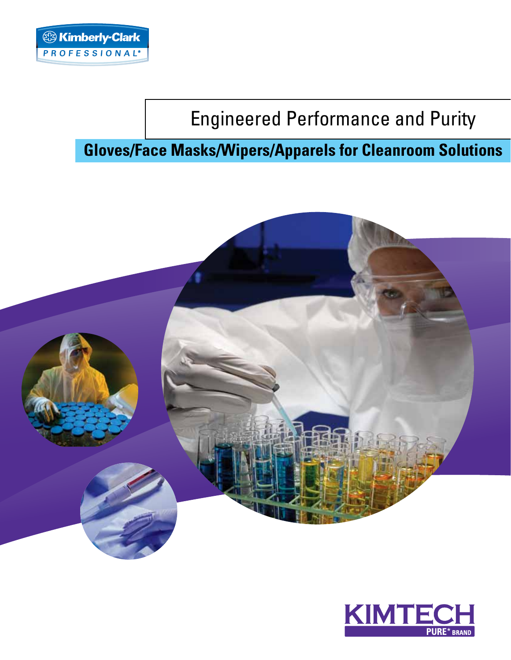# Engineered Performance and Purity

# **Gloves/Face Masks/Wipers/Apparels for Cleanroom Solutions**



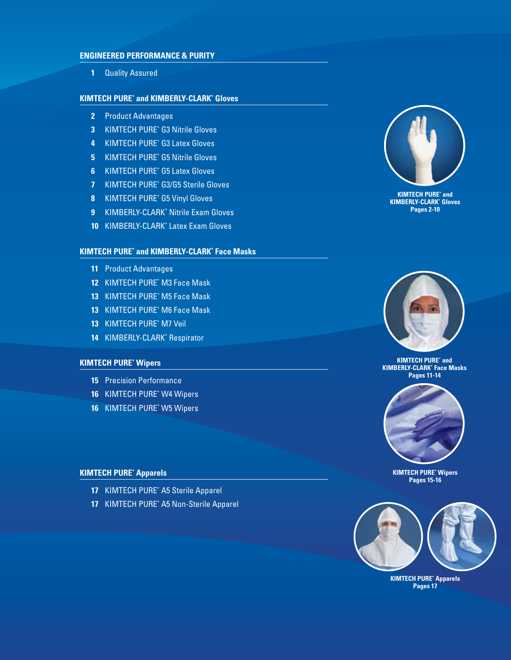### **ENGINEERED PERFORMANCE & PURItY**

**1** Quality Assured

### **KIMTECH PURE\* and KIMBERLY-CLARK\* Gloves**

- **2** Product Advantages
- **3** Kimtech Pure\* G3 Nitrile Gloves
- **4** Kimtech Pure\* G3 Latex Gloves
- **5** Kimtech Pure\* G5 Nitrile Gloves
- **6** Kimtech Pure\* G5 Latex Gloves
- **7** Kimtech PURE\* g3/G5 Sterile Gloves
- **8** Kimtech PURE\* g5 Vinyl Gloves
- **9** KIMBERLY-CLARK\* Nitrile Exam Gloves
- **10** KIMBERLY-CLARK\* Latex Exam Gloves

### **KIMTECH PURE\* and KIMBERLY-CLARK\* Face Masks**

- **11** Product Advantages
- **12** Kimtech PURE\* M3 Face Mask
- 13 KIMTECH PURE<sup>\*</sup> M5 Face Mask
- 13 KIMTECH PURE<sup>\*</sup> M6 Face Mask
- **13** Kimtech PURE\* M7 Veil
- **14** KIMBERLY-CLARK\* Respirator

### **KimtecH PURE\* Wipers**

- **15** Precision Performance
- **16** Kimtech Pure\* W4 Wipers
- **16** Kimtech Pure\* W5 Wipers

### **KimtecH PURE\* Apparels**

- **17** KIMTECH PURE<sup>\*</sup> A5 Sterile Apparel
- **17** KIMTECH PURE<sup>\*</sup> A5 Non-Sterile Apparel



**Kimtech PURE\* and KIMBERLY-CLARK\* Gloves Pages 2-10**



**Kimtech pure\* and KIMBERLY-CLARK\* Face Masks Pages 11-14** 



**Kimtech pure\* Wipers Pages 15-16**



**KimtecH PURE\* Apparels Pages 17**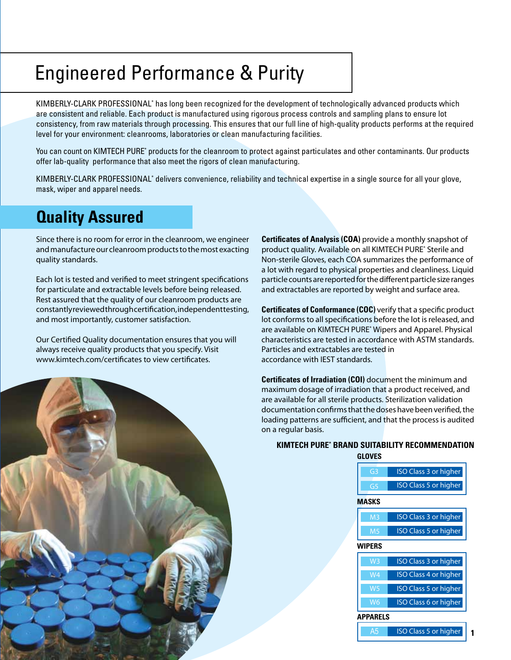# Engineered Performance & Purity

KIMBERLY-CLARK PROFESSIONAL\* has long been recognized for the development of technologically advanced products which are consistent and reliable. Each product is manufactured using rigorous process controls and sampling plans to ensure lot consistency, from raw materials through processing. This ensures that our full line of high-quality products performs at the required level for your environment: cleanrooms, laboratories or clean manufacturing facilities.

You can count on KIMTECH PURE\* products for the cleanroom to protect against particulates and other contaminants. Our products offer lab-quality performance that also meet the rigors of clean manufacturing.

KIMBERLY-CLARK PROFESSIONAL\* delivers convenience, reliability and technical expertise in a single source for all your glove, mask, wiper and apparel needs.

# **Quality Assured**

Since there is no room for error in the cleanroom, we engineer and manufacture our cleanroom products to the most exacting quality standards.

Each lot is tested and verified to meet stringent specifications for particulate and extractable levels before being released. Rest assured that the quality of our cleanroom products are constantly reviewed through certification, independent testing, and most importantly, customer satisfaction.

Our Certified Quality documentation ensures that you will always receive quality products that you specify. Visit www.kimtech.com/certificates to view certificates.

**Certificates of Analysis (COA)** provide a monthly snapshot of product quality. Available on all KIMTECH PURE\* Sterile and Non-sterile Gloves, each COA summarizes the performance of a lot with regard to physical properties and cleanliness. Liquid particle counts are reported for the different particle size ranges and extractables are reported by weight and surface area.

**Certificates of Conformance (COC)** verify that a specific product lot conforms to all specifications before the lot is released, and are available on KIMTECH PURE\* Wipers and Apparel. Physical characteristics are tested in accordance with ASTM standards. Particles and extractables are tested in accordance with IEST standards.

**Certificates of Irradiation (COI)** document the minimum and maximum dosage of irradiation that a product received, and are available for all sterile products. Sterilization validation documentation confirms that the doses have been verified, the loading patterns are sufficient, and that the process is audited on a regular basis.



### **KIMTECH PURE\* BRAND SUITABILITY RECOMMENDATION GLOVES**

| G <sub>3</sub> | <b>ISO Class 3 or higher</b> |
|----------------|------------------------------|
| G5             | <b>ISO Class 5 or higher</b> |
| <b>MASKS</b>   |                              |
| M <sub>3</sub> | <b>ISO Class 3 or higher</b> |
| M <sub>5</sub> | <b>ISO Class 5 or higher</b> |
| <b>WIPERS</b>  |                              |
| W <sub>3</sub> | <b>ISO Class 3 or higher</b> |
| W4             | <b>ISO Class 4 or higher</b> |
| W <sub>5</sub> | <b>ISO</b> Class 5 or higher |
| W <sub>6</sub> | <b>ISO Class 6 or higher</b> |
| APPARELS       |                              |
| A5             | <b>ISO Class 5 or higher</b> |

**1**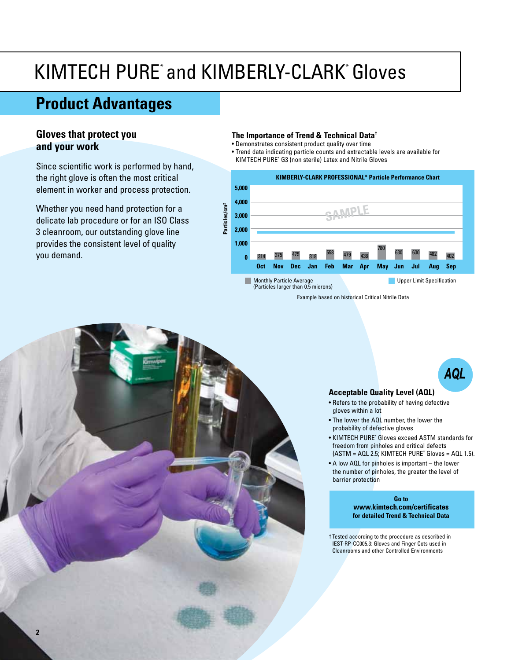# KIMTECH PURE<sup>\*</sup> and KIMBERLY-CLARK<sup>\*</sup> Gloves |

# **Product Advantages**

# **Gloves that protect you and your work**

Since scientific work is performed by hand, the right glove is often the most critical element in worker and process protection.

Whether you need hand protection for a delicate lab procedure or for an ISO Class 3 cleanroom, our outstanding glove line provides the consistent level of quality you demand.

### **The Importance of Trend & Technical Data†**

- Demonstrates consistent product quality over time
- Trend data indicating particle counts and extractable levels are available for Kimtech Pure\* G3 (non sterile) Latex and Nitrile Gloves



# **Acceptable Quality Level (AQL)**

- Refers to the probability of having defective gloves within a lot
- The lower the AQL number, the lower the probability of defective gloves
- KIMTECH PURE\* Gloves exceed ASTM standards for freedom from pinholes and critical defects (ASTM = AQL 2.5; Kimtech Pure\* Gloves = AQL 1.5).

*AQL*

• A low AQL for pinholes is important – the lower the number of pinholes, the greater the level of barrier protection

> **Go to www.kimtech.com/certificates for detailed Trend & Technical Data**

† Tested according to the procedure as described in IEST-RP-CC005.3: Gloves and Finger Cots used in Cleanrooms and other Controlled Environments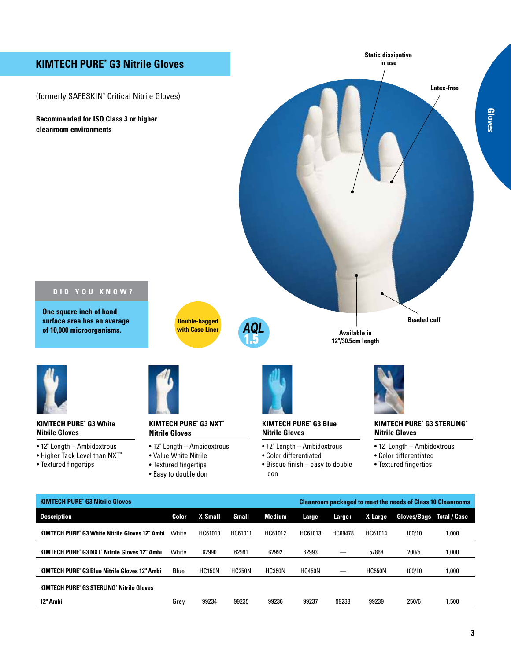## **Kimtech Pure\* G3 Nitrile Gloves**

(formerly Safeskin\* Critical Nitrile Gloves)

**Recommended for ISO Class 3 or higher cleanroom environments**



### **D id you know ?**

**One square inch of hand surface area has an average of 10,000 microorganisms.**



**Double-bagged**



### **Kimtech Pure\* G3 White Nitrile Gloves**

- 12" Length Ambidextrous
- Higher Tack Level than NXT**\***
- Textured fingertips



### **Kimtech Pure\* G3 NXT\* Nitrile Gloves**

- 12" Length Ambidextrous
- Value White Nitrile
- Textured fingertips
- Easy to double don



### **Kimtech Pure\* G3 Blue Nitrile Gloves**

- 12" Length Ambidextrous
- Color differentiated
- Bisque finish easy to double don



### **Kimtech Pure\* G3 STERLING\* Nitrile Gloves**

- 12" Length Ambidextrous
- Color differentiated
- Textured fingertips

| <b>KIMTECH PURE' G3 Nitrile Gloves</b>                |       |                | <b>Cleanroom packaged to meet the needs of Class 10 Cleanrooms</b> |               |               |         |               |                    |                     |
|-------------------------------------------------------|-------|----------------|--------------------------------------------------------------------|---------------|---------------|---------|---------------|--------------------|---------------------|
| <b>Description</b>                                    | Color | <b>X-Small</b> | <b>Small</b>                                                       | Medium        | Large         | Large+  | X-Large       | <b>Gloves/Bags</b> | <b>Total / Case</b> |
| <b>KIMTECH PURE' G3 White Nitrile Gloves 12" Ambi</b> | White | HC61010        | HC61011                                                            | HC61012       | HC61013       | HC69478 | HC61014       | 100/10             | 1,000               |
| <b>KIMTECH PURE' G3 NXT' Nitrile Gloves 12" Ambi</b>  | White | 62990          | 62991                                                              | 62992         | 62993         |         | 57868         | 200/5              | 1,000               |
| <b>KIMTECH PURE' G3 Blue Nitrile Gloves 12" Ambi</b>  | Blue  | <b>HC150N</b>  | <b>HC250N</b>                                                      | <b>HC350N</b> | <b>HC450N</b> |         | <b>HC550N</b> | 100/10             | 1,000               |
| <b>KIMTECH PURE' G3 STERLING' Nitrile Gloves</b>      |       |                |                                                                    |               |               |         |               |                    |                     |
| 12" Ambi                                              | Grev  | 99234          | 99235                                                              | 99236         | 99237         | 99238   | 99239         | 250/6              | .500                |

**Gloves**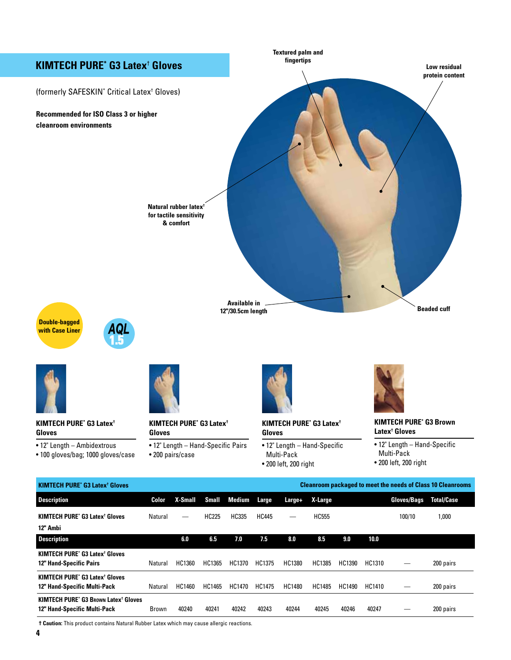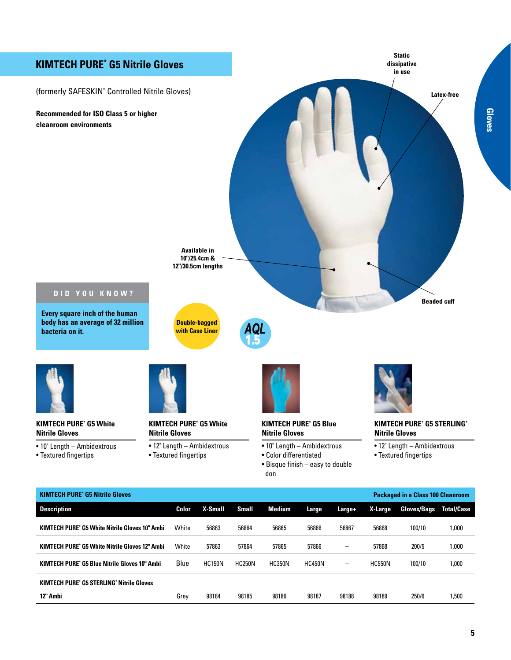

**Kimtech Pure\* G5 Blue Nitrile Gloves 10" Ambi** Blue HC150N HC250N HC350N HC450N – HC550N 100/10 1,000

**12" Ambi** Grey 98184 98185 98186 98187 98188 98189 250/6 1,500

**Kimtech Pure\* G5 STERLING\* Nitrile Gloves**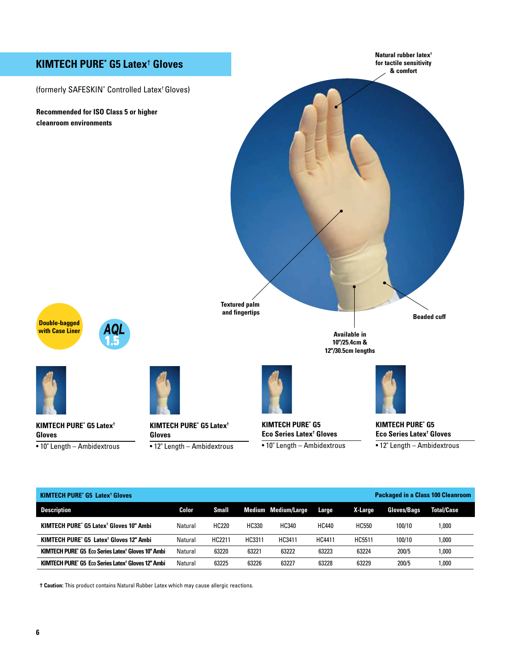# **Kimtech Pure\* G5 Latex**†  **Gloves**

(formerly Safeskin\* Controlled Latex† Gloves)

**Recommended for ISO Class 5 or higher cleanroom environments**

**Natural rubber latex† for tactile sensitivity & comfort**

**Textured palm and fingertips**

**Double-bagged with Case Liner**





**Kimtech Pure\* G5 Latex† Gloves** • 10" Length – Ambidextrous



**Kimtech Pure\* G5 Latex† Gloves**





**Kimtech Pure\* G5 Eco Series Latex† Gloves** • 10" Length – Ambidextrous



**Available in 10"/25.4cm & 12"/30.5cm lengths**

**Kimtech Pure\* G5 Eco Series Latex† Gloves**

**Beaded cuff**

• 12" Length – Ambidextrous

| <b>Packaged in a Class 100 Cleanroom</b><br><b>KIMTECH PURE' G5 Latex<sup>†</sup> Gloves</b> |         |        |        |                            |               |         |                    |                   |
|----------------------------------------------------------------------------------------------|---------|--------|--------|----------------------------|---------------|---------|--------------------|-------------------|
| <b>Description</b>                                                                           | Color   | Small  |        | <b>Medium Medium/Large</b> | Large         | X-Large | <b>Gloves/Bags</b> | <b>Total/Case</b> |
| <b>KIMTECH PURE' G5 Latex<sup>†</sup> Gloves 10" Ambi</b>                                    | Natural | HC220  | HC330  | HC340                      | <b>HC440</b>  | HC550   | 100/10             | 000, ا            |
| KIMTECH PURE* G5 Latex <sup>†</sup> Gloves 12" Ambi                                          | Natural | HC2211 | HC3311 | HC3411                     | <b>HC4411</b> | HC5511  | 100/10             | 000, ا            |
| KIMTECH PURE* G5 Eco Series Latex <sup>†</sup> Gloves 10" Ambi                               | Natural | 63220  | 63221  | 63222                      | 63223         | 63224   | 200/5              | 000, ا            |
| KIMTECH PURE" G5 Eco Series Latex <sup>†</sup> Gloves 12" Ambi                               | Natural | 63225  | 63226  | 63227                      | 63228         | 63229   | 200/5              | 000, ا            |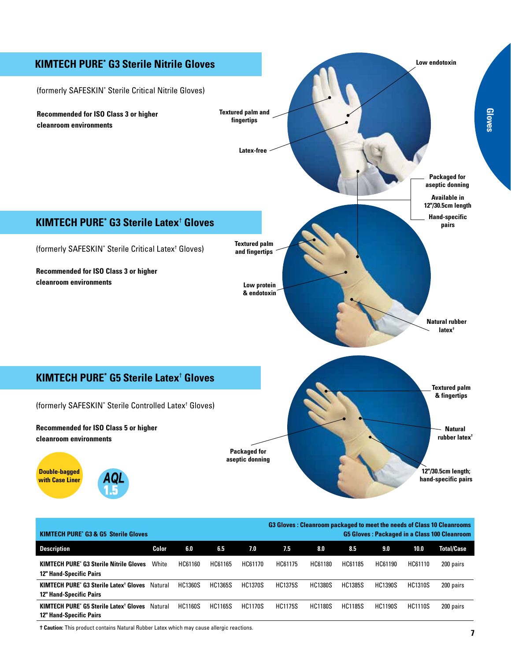

| <b>KIMTECH PURE' G3 &amp; G5 Sterile Gloves</b>                                            |         |                |                |                |                |                | <b>G3 Gloves: Cleanroom packaged to meet the needs of Class 10 Cleanrooms</b><br><b>G5 Gloves: Packaged in a Class 100 Cleanroom</b> |                |                |                   |
|--------------------------------------------------------------------------------------------|---------|----------------|----------------|----------------|----------------|----------------|--------------------------------------------------------------------------------------------------------------------------------------|----------------|----------------|-------------------|
| Description                                                                                | Color   | 6.0            | 6.5            | 7.0            | 7.5            | 8.0            | 8.5                                                                                                                                  | 9.0            | 10.0           | <b>Total/Case</b> |
| <b>KIMTECH PURE' G3 Sterile Nitrile Gloves</b><br><b>12" Hand-Specific Pairs</b>           | White   | HC61160        | HC61165        | HC61170        | HC61175        | HC61180        | HC61185                                                                                                                              | HC61190        | HC61110        | 200 pairs         |
| <b>KIMTECH PURE' G3 Sterile Latex<sup>†</sup> Gloves</b><br><b>12" Hand-Specific Pairs</b> | Natural | <b>HC1360S</b> | <b>HC1365S</b> | <b>HC1370S</b> | <b>HC1375S</b> | <b>HC1380S</b> | <b>HC1385S</b>                                                                                                                       | <b>HC1390S</b> | <b>HC1310S</b> | 200 pairs         |
| <b>KIMTECH PURE' G5 Sterile Latex<sup>†</sup> Gloves</b><br><b>12" Hand-Specific Pairs</b> | Natural | <b>HC1160S</b> | <b>HC1165S</b> | <b>HC1170S</b> | <b>HC1175S</b> | <b>HC1180S</b> | <b>HC1185S</b>                                                                                                                       | <b>HC1190S</b> | <b>HC1110S</b> | 200 pairs         |

**Gloves**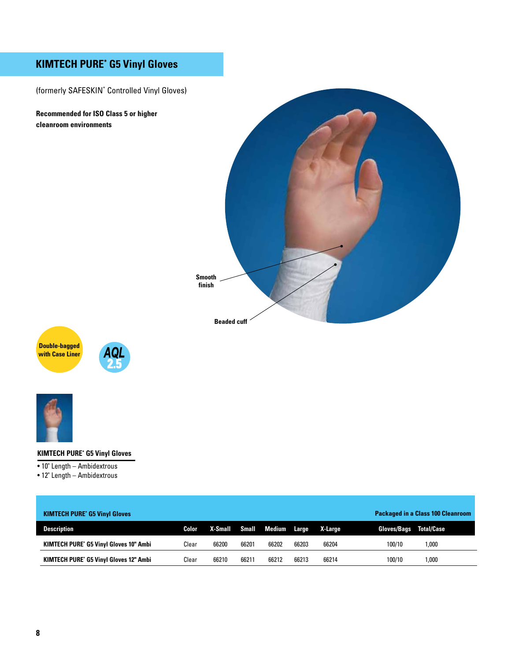# **Kimtech Pure\* G5 Vinyl Gloves**

(formerly Safeskin\* Controlled Vinyl Gloves)

**Recommended for ISO Class 5 or higher cleanroom environments**









### **Kimtech Pure\* G5 Vinyl Gloves**

• 10" Length – Ambidextrous

• 12" Length – Ambidextrous

| <b>KIMTECH PURE' G5 Vinyl Gloves</b>          |       |         |       |                    |       |         | <b>Packaged in a Class 100 Cleanroom</b> |                   |  |
|-----------------------------------------------|-------|---------|-------|--------------------|-------|---------|------------------------------------------|-------------------|--|
| <b>Description</b>                            | Color | X-Small |       | Small Medium Large |       | X-Large | <b>Gloves/Bags</b>                       | <b>Total/Case</b> |  |
| <b>KIMTECH PURE' G5 Vinyl Gloves 10" Ambi</b> | Clear | 66200   | 66201 | 66202              | 66203 | 66204   | 100/10                                   | .000              |  |
| <b>KIMTECH PURE' G5 Vinyl Gloves 12" Ambi</b> | Clear | 66210   | 66211 | 66212              | 66213 | 66214   | 100/10                                   | ,000              |  |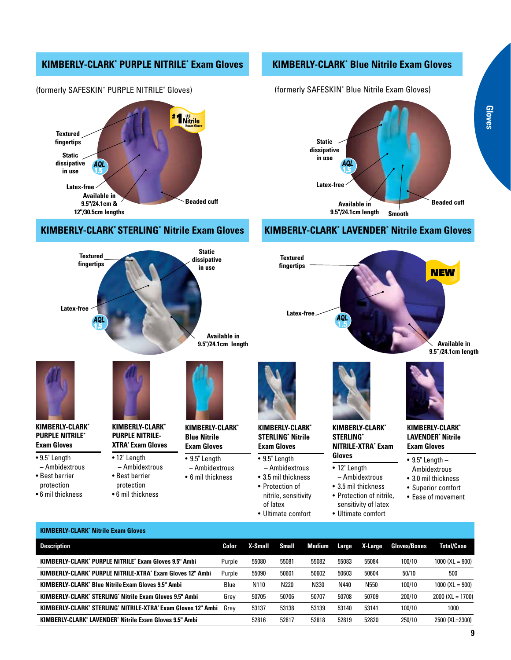### **KIMBERLY-CLARK\* Purple Nitrile\* Exam Gloves**



### (formerly Safeskin\* Purple Nitrile\* Gloves)

## **KIMBERLY-CLARK\* Sterling\* Nitrile Exam Gloves**

### **KIMBERLY-CLARK\* blue Nitrile Exam Gloves**

(formerly Safeskin\* Blue Nitrile Exam Gloves)



## **KIMBERLY-CLARK\* LAVENDER\* Nitrile Exam Gloves**



| <b>KIMBERLY-CLARK' Nitrile Exam Gloves</b>                       |        |         |       |        |       |         |                     |                    |
|------------------------------------------------------------------|--------|---------|-------|--------|-------|---------|---------------------|--------------------|
| <b>Description</b>                                               | Color  | X-Small | Small | Medium | Large | X-Large | <b>Gloves/Boxes</b> | <b>Total/Case</b>  |
| <b>KIMBERLY-CLARK' PURPLE NITRILE' Exam Gloves 9.5" Ambi</b>     | Purple | 55080   | 55081 | 55082  | 55083 | 55084   | 100/10              | $1000$ (XL = 900)  |
| <b>KIMBERLY-CLARK' PURPLE NITRILE-XTRA' Exam Gloves 12" Ambi</b> | Purple | 55090   | 50601 | 50602  | 50603 | 50604   | 50/10               | 500                |
| <b>KIMBERLY-CLARK' Blue Nitrile Exam Gloves 9.5" Ambi</b>        | Blue   | N110    | N220  | N330   | N440  | N550    | 100/10              | $1000$ (XL = 900)  |
| <b>KIMBERLY-CLARK' STERLING' Nitrile Exam Gloves 9.5" Ambi</b>   | Grey   | 50705   | 50706 | 50707  | 50708 | 50709   | 200/10              | $2000$ (XL = 1700) |
| KIMBERLY-CLARK' STERLING' NITRILE-XTRA' Exam Gloves 12" Ambi     | Grev   | 53137   | 53138 | 53139  | 53140 | 53141   | 100/10              | 1000               |
| <b>KIMBERLY-CLARK' LAVENDER' Nitrile Exam Gloves 9.5" Ambi</b>   |        | 52816   | 52817 | 52818  | 52819 | 52820   | 250/10              | 2500 (XL=2300)     |
|                                                                  |        |         |       |        |       |         |                     |                    |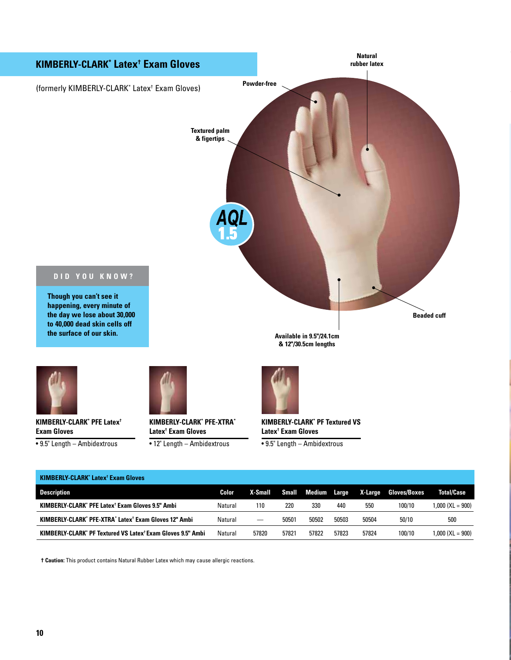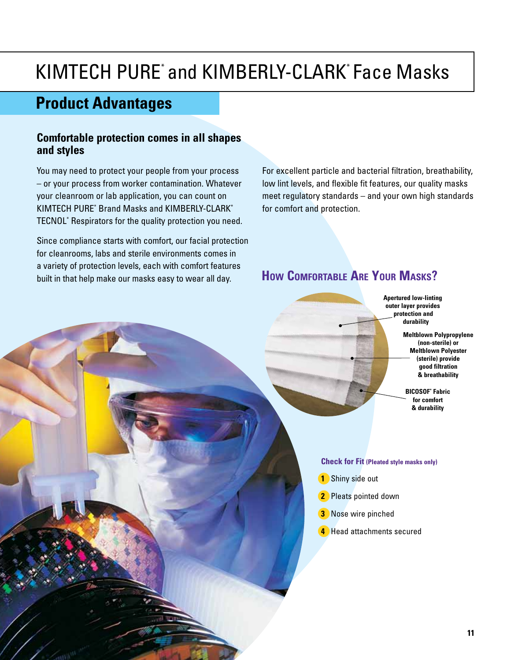# KIMTECH PURE<sup>\*</sup> and KIMBERLY-CLARK<sup>\*</sup> Face Masks

# **Product Advantages**

# **Comfortable protection comes in all shapes and styles**

You may need to protect your people from your process – or your process from worker contamination. Whatever your cleanroom or lab application, you can count on KIMTECH PURE\* Brand Masks and KIMBERLY-CLARK\* TECNOL\* Respirators for the quality protection you need.

Since compliance starts with comfort, our facial protection for cleanrooms, labs and sterile environments comes in a variety of protection levels, each with comfort features built in that help make our masks easy to wear all day.

For excellent particle and bacterial filtration, breathability, low lint levels, and flexible fit features, our quality masks meet regulatory standards – and your own high standards for comfort and protection.

# **How Comfortable Are Your Masks?**



**Meltblown Polypropylene (non-sterile) or Meltblown Polyester (sterile) provide good filtration & breathability**

**Bicosof\* Fabric for comfort & durability**

- **Check for Fit (Pleated style masks only)**
- **1** Shiny side out
- **2** Pleats pointed down
- **3** Nose wire pinched
- **4** Head attachments secured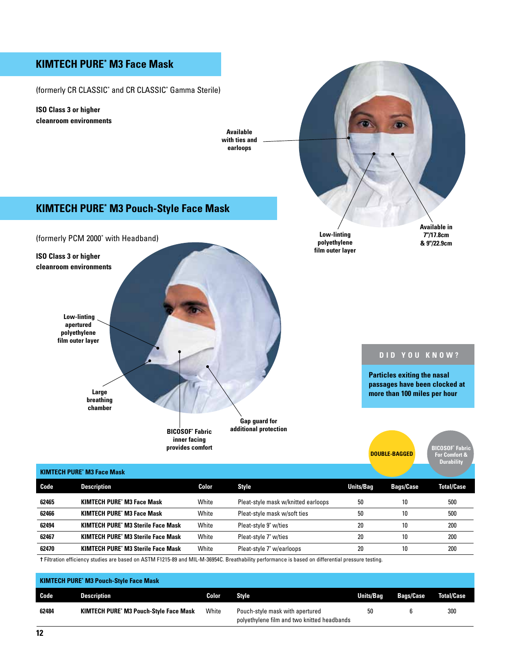### **Available in 7"/17.8cm & 9"/22.9cm Low-linting polyethylene film outer layer Available with ties and earloops ISO Class 3 or higher cleanroom environments** (formerly CR Classic\* and CR Classic\* Gamma Sterile) **Kimtech Pure\* M3 Face Mask Low-linting apertured polyethylene film outer layer Large breathing chamber Bicosof\* Fabric inner facing provides comfort Gap guard for additional protection Double-bagged Particles exiting the nasal passages have been clocked at more than 100 miles per hour D id you know ? ISO Class 3 or higher cleanroom environments** (formerly PCM 2000<sup>\*</sup> with Headband) **Kimtech Pure\* M3 Pouch-Style Face Mask Bicosof\* Fabric For Comfort &**

|       |                                           |       |                                     |                  |                  | <b>Durability</b> |  |  |  |  |  |
|-------|-------------------------------------------|-------|-------------------------------------|------------------|------------------|-------------------|--|--|--|--|--|
|       | <b>KIMTECH PURE' M3 Face Mask</b>         |       |                                     |                  |                  |                   |  |  |  |  |  |
| Code  | <b>Description</b>                        | Color | <b>Style</b>                        | <b>Units/Bag</b> | <b>Bags/Case</b> | <b>Total/Case</b> |  |  |  |  |  |
| 62465 | <b>KIMTECH PURE' M3 Face Mask</b>         | White | Pleat-style mask w/knitted earloops | 50               | 10               | 500               |  |  |  |  |  |
| 62466 | <b>KIMTECH PURE' M3 Face Mask</b>         | White | Pleat-style mask w/soft ties        | 50               | 10               | 500               |  |  |  |  |  |
| 62494 | <b>KIMTECH PURE' M3 Sterile Face Mask</b> | White | Pleat-style 9" w/ties               | 20               | 10               | 200               |  |  |  |  |  |
| 62467 | <b>KIMTECH PURE' M3 Sterile Face Mask</b> | White | Pleat-style 7" w/ties               | 20               | 10               | 200               |  |  |  |  |  |
| 62470 | <b>KIMTECH PURE' M3 Sterile Face Mask</b> | White | Pleat-style 7" w/earloops           | 20               | 10               | 200               |  |  |  |  |  |
|       |                                           |       |                                     |                  |                  |                   |  |  |  |  |  |

**†** Filtration efficiency studies are based on ASTM F1215-89 and MIL-M-36954C. Breathability performance is based on differential pressure testing.

| <b>KIMTECH PURE' M3 Pouch-Style Face Mask</b> |                                               |       |                                                                                |           |                  |                   |  |  |  |  |
|-----------------------------------------------|-----------------------------------------------|-------|--------------------------------------------------------------------------------|-----------|------------------|-------------------|--|--|--|--|
| Code                                          | <b>Description</b>                            | Color | <b>Style</b>                                                                   | Units/Bag | <b>Bags/Case</b> | <b>Total/Case</b> |  |  |  |  |
| 62484                                         | <b>KIMTECH PURE' M3 Pouch-Style Face Mask</b> | White | Pouch-style mask with apertured<br>polyethylene film and two knitted headbands | 50        |                  | 300               |  |  |  |  |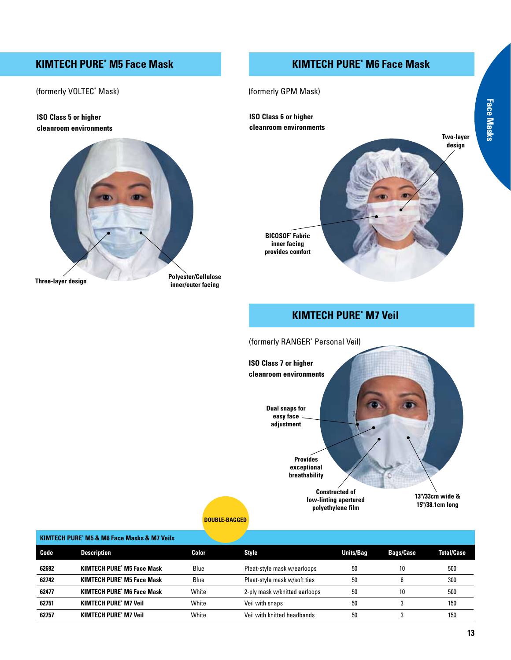## **Kimtech Pure\* M5 Face Mask**

## **Kimtech Pure\* M6 Face Mask**

(formerly VOLTEC\* Mask)

**ISO Class 5 or higher cleanroom environments**



(formerly GPM Mask) **ISO Class 6 or higher** 

**Face Masks Face Masks**



# **Kimtech Pure\* M7 Veil**



**Double-bagged**

### **KIMTECH PURE\* M5 & M6 Face Masks & M7 Veils**

| Code  | <b>Description</b>                | Color | Style                         | <b>Units/Bag</b> | <b>Bags/Case</b> | <b>Total/Case</b> |
|-------|-----------------------------------|-------|-------------------------------|------------------|------------------|-------------------|
| 62692 | <b>KIMTECH PURE' M5 Face Mask</b> | Blue  | Pleat-style mask w/earloops   | 50               | 10               | 500               |
| 62742 | <b>KIMTECH PURE' M5 Face Mask</b> | Blue  | Pleat-style mask w/soft ties  | 50               |                  | 300               |
| 62477 | <b>KIMTECH PURE' M6 Face Mask</b> | White | 2-ply mask w/knitted earloops | 50               | 10               | 500               |
| 62751 | <b>KIMTECH PURE' M7 Veil</b>      | White | Veil with snaps               | 50               |                  | 150               |
| 62757 | <b>KIMTECH PURE' M7 Veil</b>      | White | Veil with knitted headbands   | 50               |                  | 150               |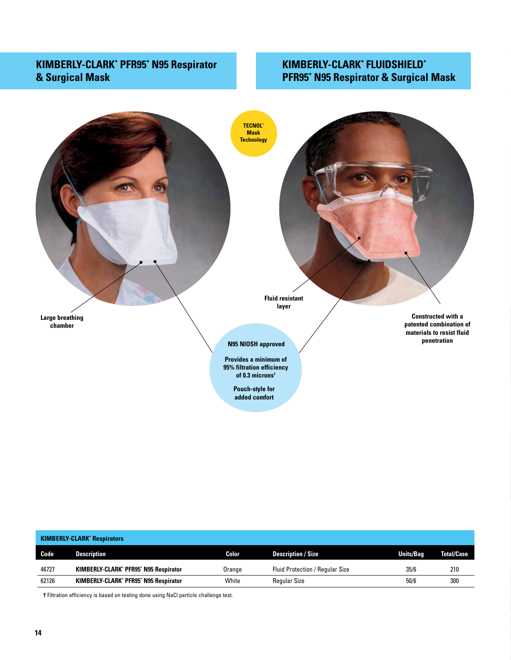# **KIMBERLY-CLARK\* PFR95\* N95 Respirator & Surgical Mask**

# **KIMBERLY-CLARK\* Fluidshield\* PFR95\* N95 Respirator & Surgical Mask**



|       | <b>KIMBERLY-CLARK' Respirators</b>    |        |                                        |                  |                   |  |  |  |  |  |  |
|-------|---------------------------------------|--------|----------------------------------------|------------------|-------------------|--|--|--|--|--|--|
| Code  | <b>Description</b>                    | Color  | <b>Description / Size</b>              | <b>Units/Bag</b> | <b>Total/Case</b> |  |  |  |  |  |  |
| 46727 | KIMBERLY-CLARK* PFR95* N95 Respirator | Orange | <b>Fluid Protection / Regular Size</b> | 35/6             | 210               |  |  |  |  |  |  |
| 62126 | KIMBERLY-CLARK' PFR95' N95 Respirator | White  | <b>Regular Size</b>                    | 50/6             | 300               |  |  |  |  |  |  |

**†** Filtration efficiency is based on testing done using NaCl particle challenge test.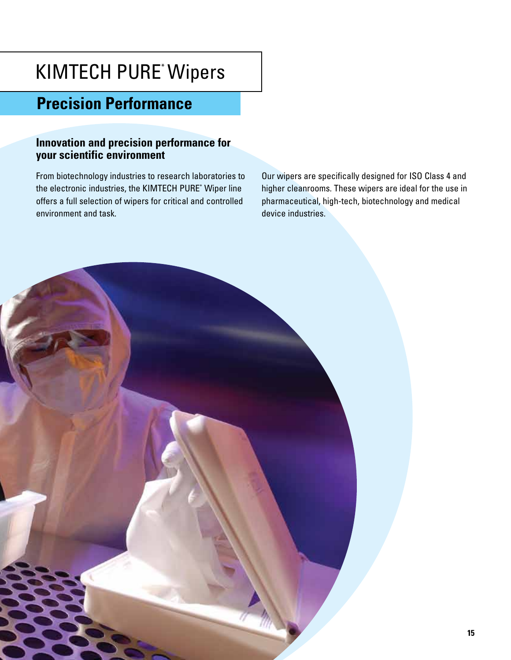# KIMTECH PURE\* Wipers

# **Precision Performance**

# **Innovation and precision performance for your scientific environment**

From biotechnology industries to research laboratories to the electronic industries, the KIMTECH PURE\* Wiper line offers a full selection of wipers for critical and controlled environment and task.

Our wipers are specifically designed for ISO Class 4 and higher cleanrooms. These wipers are ideal for the use in pharmaceutical, high-tech, biotechnology and medical device industries.

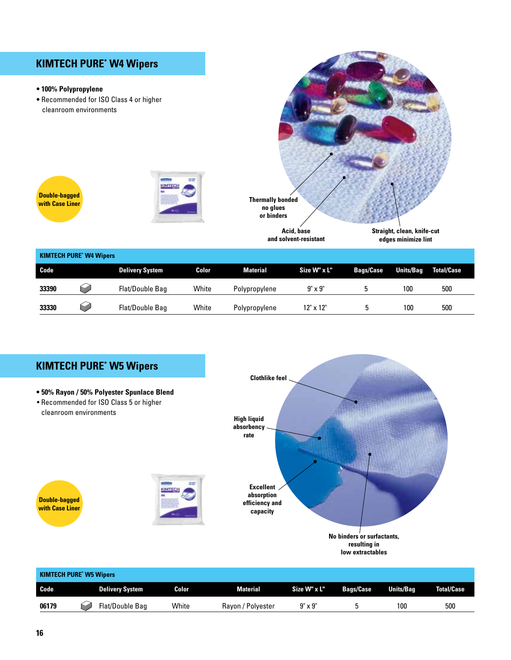# **Kimtech Pure\* W4 Wipers**

### **• 100% Polypropylene**

 **•** Recommended for ISO Class 4 or higher cleanroom environments













| Code  | <b>Delivery System</b> | Color | Material          | Size W" x L"   | <b>Bags/Case</b> | <b>Units/Bag</b> | <b>Total/Case</b> |
|-------|------------------------|-------|-------------------|----------------|------------------|------------------|-------------------|
| 06179 | Flat/Double Bag<br>SI. | White | Rayon / Polyester | $9" \times 9"$ |                  | 100              | 500               |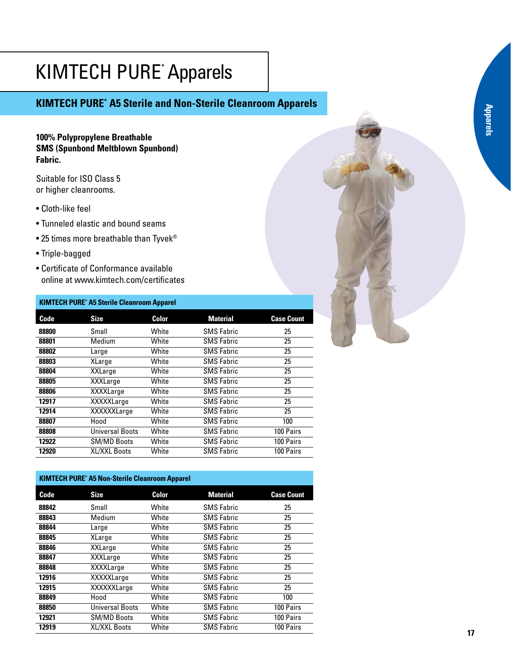# KIMTECH PURE\* Apparels

# **Kimtech Pure\* A5 Sterile and Non-Sterile Cleanroom Apparels**

### **100% Polypropylene Breathable SMS (Spunbond Meltblown Spunbond) Fabric.**

Suitable for ISO Class 5 or higher cleanrooms.

- Cloth-like feel
- Tunneled elastic and bound seams
- 25 times more breathable than Tyvek®
- Triple-bagged
- Certificate of Conformance available online at www.kimtech.com/certificates

### **KIMTECH PURE\* A5 Sterile Cleanroom Apparel**

| Code  | <b>Size</b>        | Color | <b>Material</b>   | <b>Case Count</b> |
|-------|--------------------|-------|-------------------|-------------------|
| 88800 | Small              | White | <b>SMS Fabric</b> | 25                |
| 88801 | Medium             | White | <b>SMS Fabric</b> | 25                |
| 88802 | Large              | White | <b>SMS Fabric</b> | 25                |
| 88803 | XLarge             | White | <b>SMS Fabric</b> | 25                |
| 88804 | <b>XXLarge</b>     | White | <b>SMS Fabric</b> | 25                |
| 88805 | <b>XXXLarge</b>    | White | <b>SMS Fabric</b> | 25                |
| 88806 | <b>XXXXLarge</b>   | White | <b>SMS Fabric</b> | 25                |
| 12917 | <b>XXXXXLarge</b>  | White | <b>SMS Fabric</b> | 25                |
| 12914 | XXXXXLarge         | White | <b>SMS Fabric</b> | 25                |
| 88807 | Hood               | White | <b>SMS Fabric</b> | 100               |
| 88808 | Universal Boots    | White | <b>SMS Fabric</b> | 100 Pairs         |
| 12922 | <b>SM/MD Boots</b> | White | <b>SMS Fabric</b> | 100 Pairs         |
| 12920 | XL/XXL Boots       | White | <b>SMS Fabric</b> | 100 Pairs         |
|       |                    |       |                   |                   |

### **KIMTECH PURE\* A5 Non-Sterile Cleanroom Apparel**

| Code  | <b>Size</b>            | Color | <b>Material</b>   | <b>Case Count</b> |
|-------|------------------------|-------|-------------------|-------------------|
| 88842 | Small                  | White | <b>SMS Fabric</b> | 25                |
| 88843 | Medium                 | White | <b>SMS Fabric</b> | 25                |
| 88844 | Large                  | White | <b>SMS Fabric</b> | 25                |
| 88845 | XLarge                 | White | <b>SMS Fabric</b> | 25                |
| 88846 | XXLarge                | White | <b>SMS Fabric</b> | 25                |
| 88847 | <b>XXXLarge</b>        | White | <b>SMS Fabric</b> | 25                |
| 88848 | <b>XXXXLarge</b>       | White | <b>SMS Fabric</b> | 25                |
| 12916 | <b>XXXXXLarge</b>      | White | <b>SMS Fabric</b> | 25                |
| 12915 | XXXXXLarge             | White | <b>SMS Fabric</b> | 25                |
| 88849 | Hood                   | White | <b>SMS Fabric</b> | 100               |
| 88850 | <b>Universal Boots</b> | White | <b>SMS Fabric</b> | 100 Pairs         |
| 12921 | <b>SM/MD Boots</b>     | White | <b>SMS Fabric</b> | 100 Pairs         |
| 12919 | XL/XXL Boots           | White | <b>SMS Fabric</b> | 100 Pairs         |